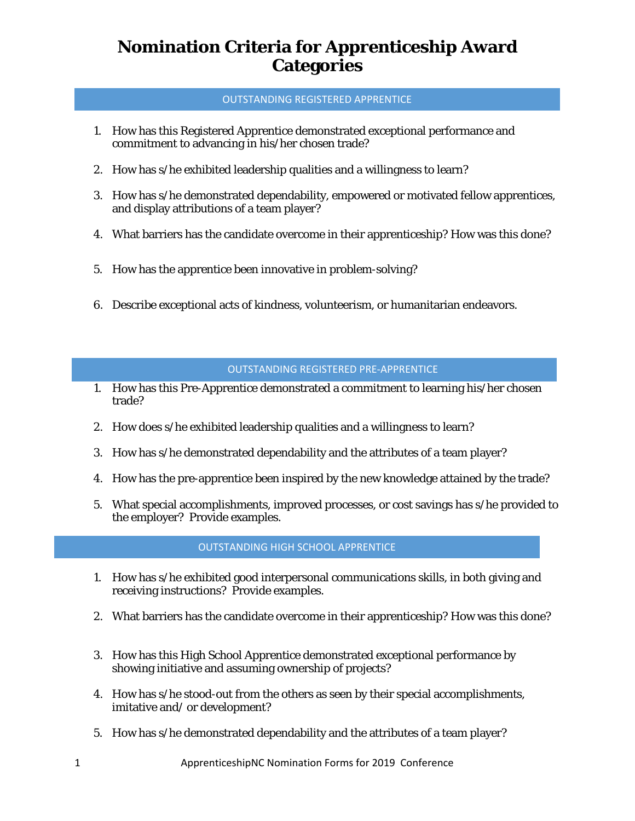## OUTSTANDING REGISTERED APPRENTICE

- 1. How has this Registered Apprentice demonstrated exceptional performance and commitment to advancing in his/her chosen trade?
- 2. How has s/he exhibited leadership qualities and a willingness to learn?
- 3. How has s/he demonstrated dependability, empowered or motivated fellow apprentices, and display attributions of a team player?
- 4. What barriers has the candidate overcome in their apprenticeship? How was this done?
- 5. How has the apprentice been innovative in problem-solving?
- 6. Describe exceptional acts of kindness, volunteerism, or humanitarian endeavors.

#### OUTSTANDING REGISTERED PRE-APPRENTICE

- 1. How has this Pre-Apprentice demonstrated a commitment to learning his/her chosen trade?
- 2. How does s/he exhibited leadership qualities and a willingness to learn?
- 3. How has s/he demonstrated dependability and the attributes of a team player?
- 4. How has the pre-apprentice been inspired by the new knowledge attained by the trade?
- 5. What special accomplishments, improved processes, or cost savings has s/he provided to the employer? Provide examples.

#### OUTSTANDING HIGH SCHOOL APPRENTICE

- 1. How has s/he exhibited good interpersonal communications skills, in both giving and receiving instructions? Provide examples.
- 2. What barriers has the candidate overcome in their apprenticeship? How was this done?
- 3. How has this High School Apprentice demonstrated exceptional performance by showing initiative and assuming ownership of projects?
- 4. How has s/he stood-out from the others as seen by their special accomplishments, imitative and/ or development?
- 5. How has s/he demonstrated dependability and the attributes of a team player?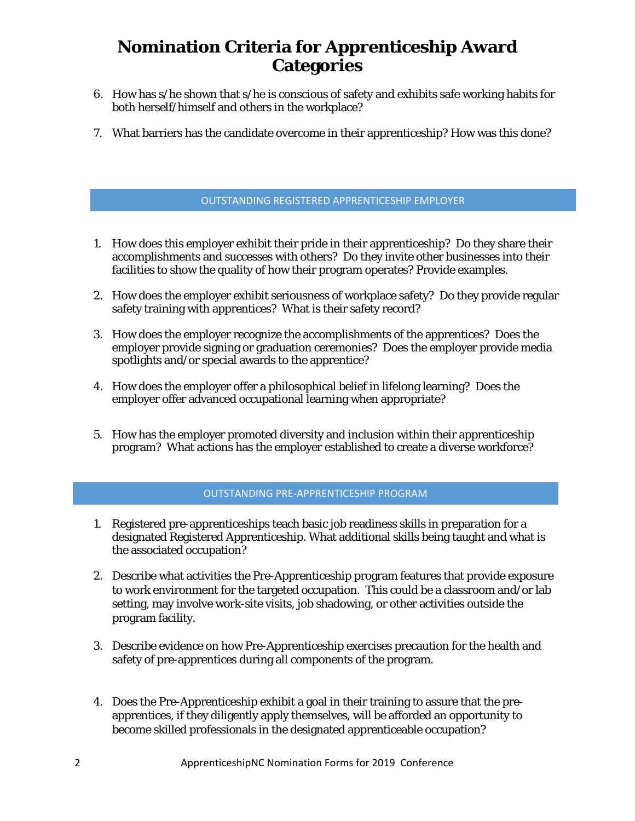- 6. How has s/he shown that s/he is conscious of safety and exhibits safe working habits for both herself/himself and others in the workplace?
- 7. What barriers has the candidate overcome in their apprenticeship? How was this done?

## OUTSTANDING REGISTERED APPRENTICESHIP EMPLOYER

- 1. How does this employer exhibit their pride in their apprenticeship? Do they share their accomplishments and successes with others? Do they invite other businesses into their facilities to show the quality of how their program operates? Provide examples.
- 2. How does the employer exhibit seriousness of workplace safety? Do they provide regular safety training with apprentices? What is their safety record?
- 3. How does the employer recognize the accomplishments of the apprentices? Does the employer provide signing or graduation ceremonies? Does the employer provide media spotlights and/or special awards to the apprentice?
- 4. How does the employer offer a philosophical belief in lifelong learning? Does the employer offer advanced occupational learning when appropriate?
- 5. How has the employer promoted diversity and inclusion within their apprenticeship program? What actions has the employer established to create a diverse workforce?

#### OUTSTANDING PRE-APPRENTICESHIP PROGRAM

- 1. Registered pre-apprenticeships teach basic job readiness skills in preparation for a designated Registered Apprenticeship. What additional skills being taught and what is the associated occupation?
- 2. Describe what activities the Pre-Apprenticeship program features that provide exposure to work environment for the targeted occupation. This could be a classroom and/or lab setting, may involve work-site visits, job shadowing, or other activities outside the program facility.
- 3. Describe evidence on how Pre-Apprenticeship exercises precaution for the health and safety of pre-apprentices during all components of the program.
- 4. Does the Pre-Apprenticeship exhibit a goal in their training to assure that the preapprentices, if they diligently apply themselves, will be afforded an opportunity to become skilled professionals in the designated apprenticeable occupation?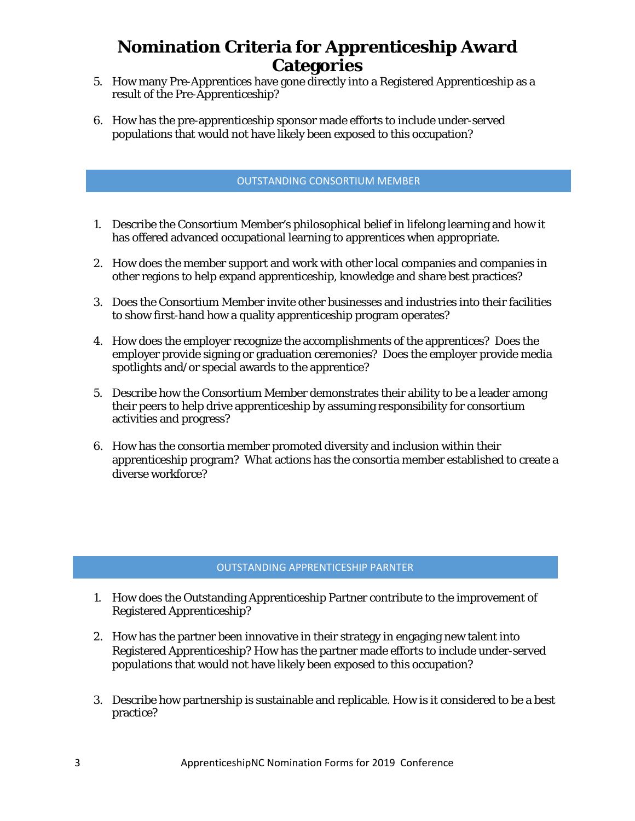- 5. How many Pre-Apprentices have gone directly into a Registered Apprenticeship as a result of the Pre-Apprenticeship?
- 6. How has the pre-apprenticeship sponsor made efforts to include under-served populations that would not have likely been exposed to this occupation?

## OUTSTANDING CONSORTIUM MEMBER

- 1. Describe the Consortium Member's philosophical belief in lifelong learning and how it has offered advanced occupational learning to apprentices when appropriate.
- 2. How does the member support and work with other local companies and companies in other regions to help expand apprenticeship, knowledge and share best practices?
- 3. Does the Consortium Member invite other businesses and industries into their facilities to show first-hand how a quality apprenticeship program operates?
- 4. How does the employer recognize the accomplishments of the apprentices? Does the employer provide signing or graduation ceremonies? Does the employer provide media spotlights and/or special awards to the apprentice?
- 5. Describe how the Consortium Member demonstrates their ability to be a leader among their peers to help drive apprenticeship by assuming responsibility for consortium activities and progress?
- 6. How has the consortia member promoted diversity and inclusion within their apprenticeship program? What actions has the consortia member established to create a diverse workforce?

## OUTSTANDING APPRENTICESHIP PARNTER

- 1. How does the Outstanding Apprenticeship Partner contribute to the improvement of Registered Apprenticeship?
- 2. How has the partner been innovative in their strategy in engaging new talent into Registered Apprenticeship? How has the partner made efforts to include under-served populations that would not have likely been exposed to this occupation?
- 3. Describe how partnership is sustainable and replicable. How is it considered to be a best practice?